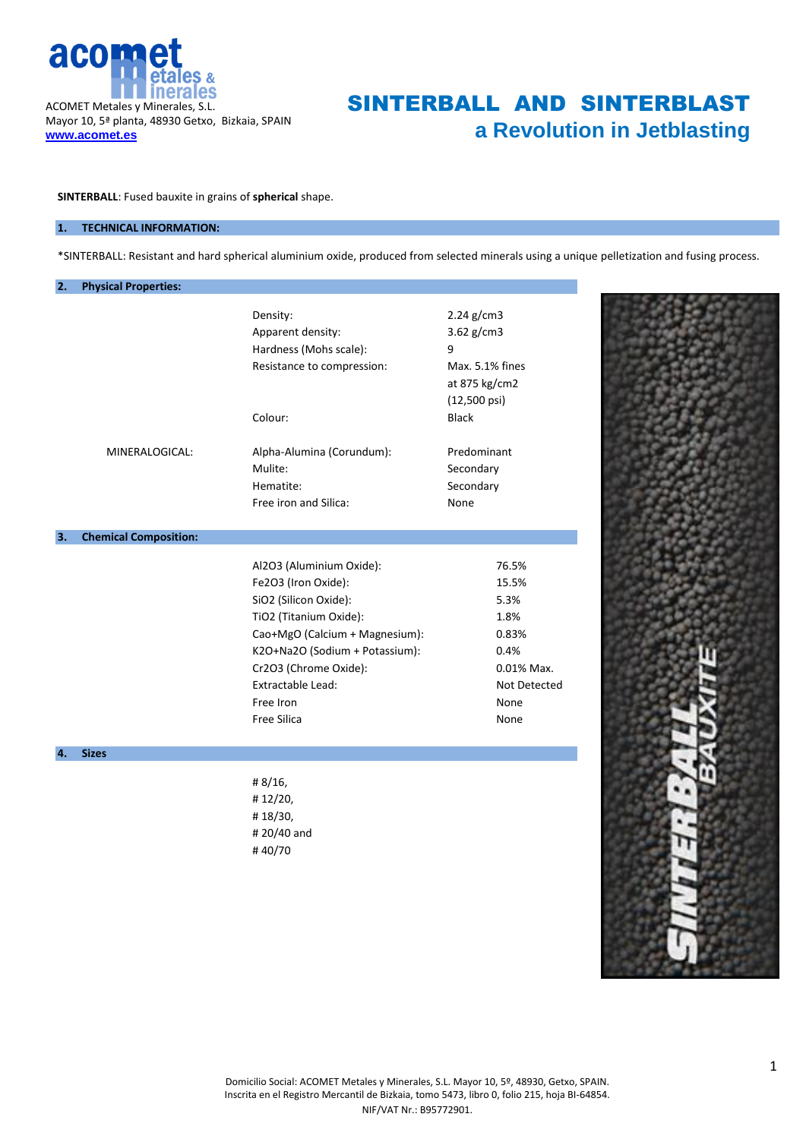

# SINTERBALL AND SINTERBLAST **a Revolution in Jetblasting**

**SINTERBALL**: Fused bauxite in grains of **spherical** shape.

### **1. TECHNICAL INFORMATION:**

\*SINTERBALL: Resistant and hard spherical aluminium oxide, produced from selected minerals using a unique pelletization and fusing process.

| 2. | <b>Physical Properties:</b>  |                                                                                                                                                                                                                                                  |                                                                                               |
|----|------------------------------|--------------------------------------------------------------------------------------------------------------------------------------------------------------------------------------------------------------------------------------------------|-----------------------------------------------------------------------------------------------|
|    |                              | Density:<br>Apparent density:<br>Hardness (Mohs scale):<br>Resistance to compression:                                                                                                                                                            | 2.24 g/cm3<br>3.62 g/cm3<br>9<br>Max. 5.1% fines<br>at 875 kg/cm2<br>(12,500 psi)             |
|    | MINERALOGICAL:               | Colour:<br>Alpha-Alumina (Corundum):<br>Mulite:<br>Hematite:<br>Free iron and Silica:                                                                                                                                                            | <b>Black</b><br>Predominant<br>Secondary<br>Secondary<br>None                                 |
| 3. | <b>Chemical Composition:</b> |                                                                                                                                                                                                                                                  |                                                                                               |
| 4. | <b>Sizes</b>                 | Al2O3 (Aluminium Oxide):<br>Fe2O3 (Iron Oxide):<br>SiO2 (Silicon Oxide):<br>TiO2 (Titanium Oxide):<br>Cao+MgO (Calcium + Magnesium):<br>K2O+Na2O (Sodium + Potassium):<br>Cr2O3 (Chrome Oxide):<br>Extractable Lead:<br>Free Iron<br>Free Silica | 76.5%<br>15.5%<br>5.3%<br>1.8%<br>0.83%<br>0.4%<br>0.01% Max.<br>Not Detected<br>None<br>None |
|    |                              | #8/16,<br>#12/20,<br>#18/30,<br>#20/40 and<br>#40/70                                                                                                                                                                                             |                                                                                               |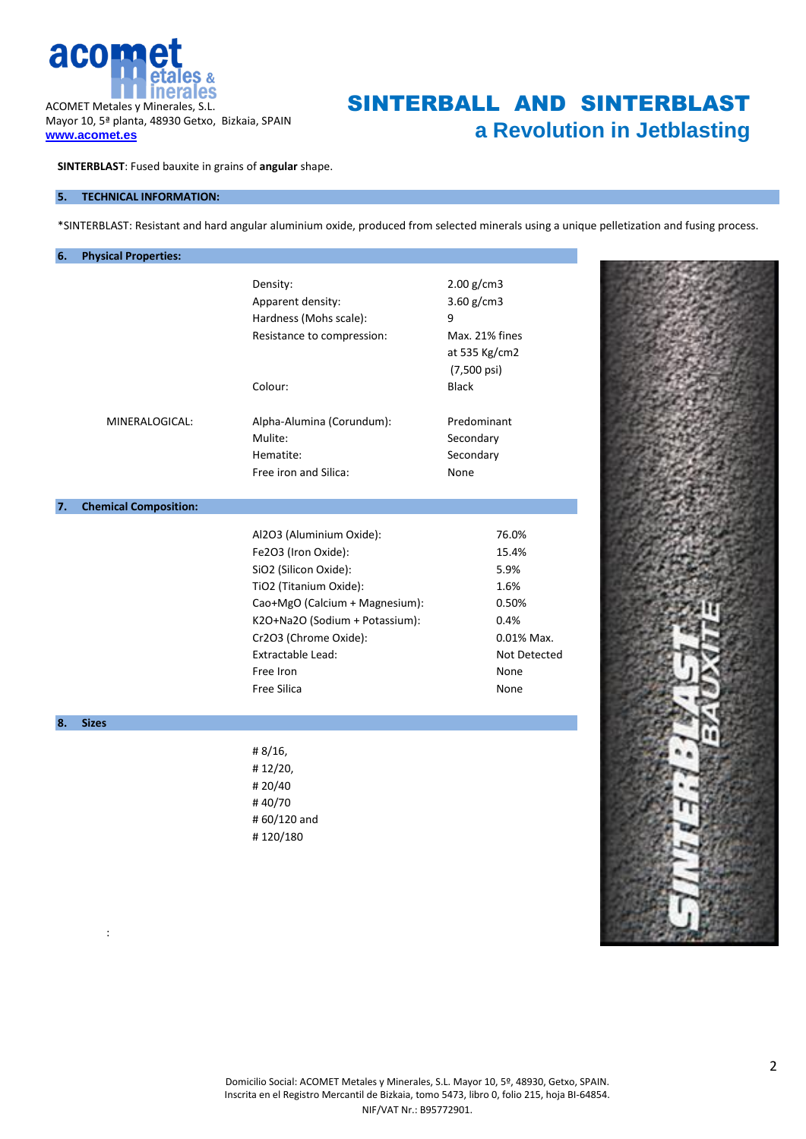

**www.acomet.es**

:

SINTERBALL AND SINTERBLAST **a Revolution in Jetblasting**

**SINTERBLAST**: Fused bauxite in grains of **angular** shape.

### **5. TECHNICAL INFORMATION:**

\*SINTERBLAST: Resistant and hard angular aluminium oxide, produced from selected minerals using a unique pelletization and fusing process.

| 6. | <b>Physical Properties:</b>  |                                |                |
|----|------------------------------|--------------------------------|----------------|
|    |                              | Density:                       | 2.00 g/cm3     |
|    |                              | Apparent density:              | 3.60 g/cm3     |
|    |                              | Hardness (Mohs scale):         | 9              |
|    |                              |                                | Max. 21% fines |
|    |                              | Resistance to compression:     |                |
|    |                              |                                | at 535 Kg/cm2  |
|    |                              |                                | (7,500 psi)    |
|    |                              | Colour:                        | <b>Black</b>   |
|    | MINERALOGICAL:               | Alpha-Alumina (Corundum):      | Predominant    |
|    |                              | Mulite:                        | Secondary      |
|    |                              | Hematite:                      | Secondary      |
|    |                              | Free iron and Silica:          | None           |
|    |                              |                                |                |
| 7. | <b>Chemical Composition:</b> |                                |                |
|    |                              | Al2O3 (Aluminium Oxide):       | 76.0%          |
|    |                              | Fe2O3 (Iron Oxide):            | 15.4%          |
|    |                              | SiO2 (Silicon Oxide):          | 5.9%           |
|    |                              | TiO2 (Titanium Oxide):         | 1.6%           |
|    |                              | Cao+MgO (Calcium + Magnesium): | 0.50%          |
|    |                              | K2O+Na2O (Sodium + Potassium): | 0.4%           |
|    |                              | Cr2O3 (Chrome Oxide):          | 0.01% Max.     |
|    |                              | Extractable Lead:              | Not Detected   |
|    |                              | Free Iron                      | None           |
|    |                              | Free Silica                    | None           |
|    |                              |                                |                |
| 8. | <b>Sizes</b>                 |                                |                |
|    |                              | #8/16,                         |                |
|    |                              | #12/20,                        |                |
|    |                              | #20/40                         |                |
|    |                              | #40/70                         |                |
|    |                              | #60/120 and                    |                |
|    |                              | #120/180                       |                |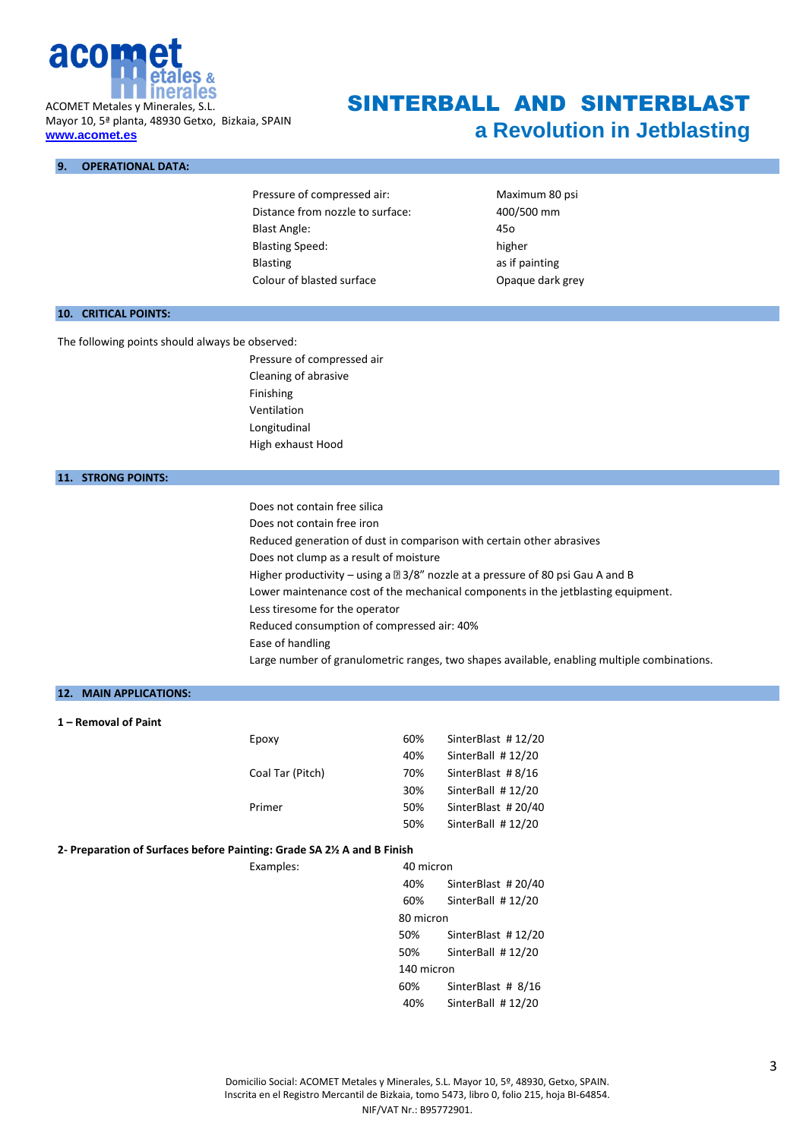

Mayor 10, 5ª planta, 48930 Getxo, Bizkaia, SPAIN **www.acomet.es**

#### **9. OPERATIONAL DATA:**

Pressure of compressed air: Maximum 80 psi Distance from nozzle to surface: 400/500 mm Blast Angle: 45o Blasting Speed: higher Blasting Blasting **Blasting** Colour of blasted surface Colour of blasted surface

SINTERBALL AND SINTERBLAST

**a Revolution in Jetblasting**

### **10. CRITICAL POINTS:**

The following points should always be observed:

Pressure of compressed air Cleaning of abrasive Finishing Ventilation Longitudinal High exhaust Hood

#### **11. STRONG POINTS:**

Does not contain free silica Does not contain free iron Reduced generation of dust in comparison with certain other abrasives Does not clump as a result of moisture Higher productivity – using a  $\mathbb{Z}3/8$ " nozzle at a pressure of 80 psi Gau A and B Lower maintenance cost of the mechanical components in the jetblasting equipment. Less tiresome for the operator Reduced consumption of compressed air: 40% Ease of handling Large number of granulometric ranges, two shapes available, enabling multiple combinations.

## **12. MAIN APPLICATIONS:**

**1 – Removal of Paint**

| 60% | SinterBlast #12/20 |
|-----|--------------------|
| 40% | SinterBall #12/20  |
| 70% | SinterBlast #8/16  |
| 30% | SinterBall #12/20  |
| 50% | SinterBlast #20/40 |
| 50% | SinterBall #12/20  |
|     |                    |

#### **2- Preparation of Surfaces before Painting: Grade SA 2½ A and B Finish**

Examples: 40 micron 40% SinterBlast # 20/40 60% SinterBall # 12/20 80 micron 50% SinterBlast # 12/20 50% SinterBall # 12/20 140 micron 60% SinterBlast # 8/16 40% SinterBall # 12/20